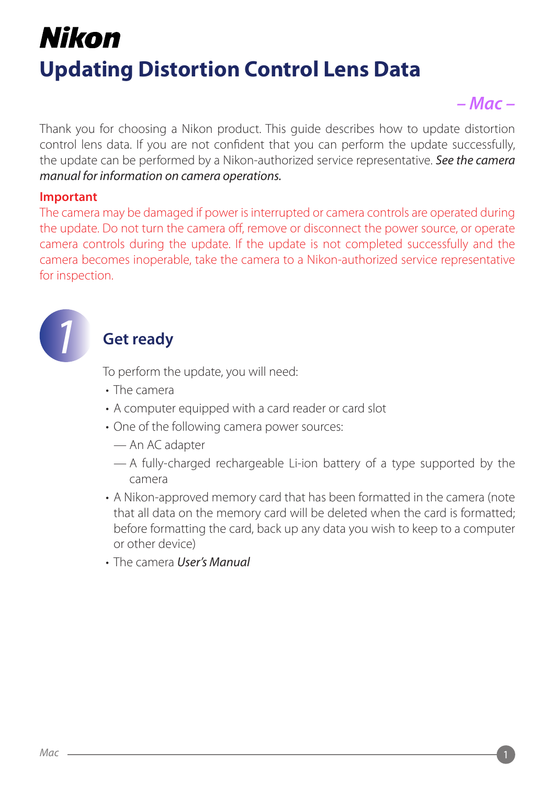## Nikon **Updating Distortion Control Lens Data**

## *– Mac –*

Thank you for choosing a Nikon product. This quide describes how to update distortion control lens data. If you are not confident that you can perform the update successfully, the update can be performed by a Nikon-authorized service representative. See the camera *manual for information on camera operations.* 

#### **Important**

The camera may be damaged if power is interrupted or camera controls are operated during the update. Do not turn the camera off, remove or disconnect the power source, or operate camera controls during the update. If the update is not completed successfully and the camera becomes inoperable, take the camera to a Nikon-authorized service representative for inspection.



### **Get ready**

To perform the update, you will need:

- The camera
- A computer equipped with a card reader or card slot
- One of the following camera power sources:
	- An AC adapter
	- $-$  A fully-charged rechargeable Li-ion-battery of a type supported by the camera
- A Nikon-approved memory card that has been formatted in the camera (note that all data on the memory card will be deleted when the card is formatted; before formatting the card, back up any data you wish to keep to a computer or other device)
- The camera *User's Manual*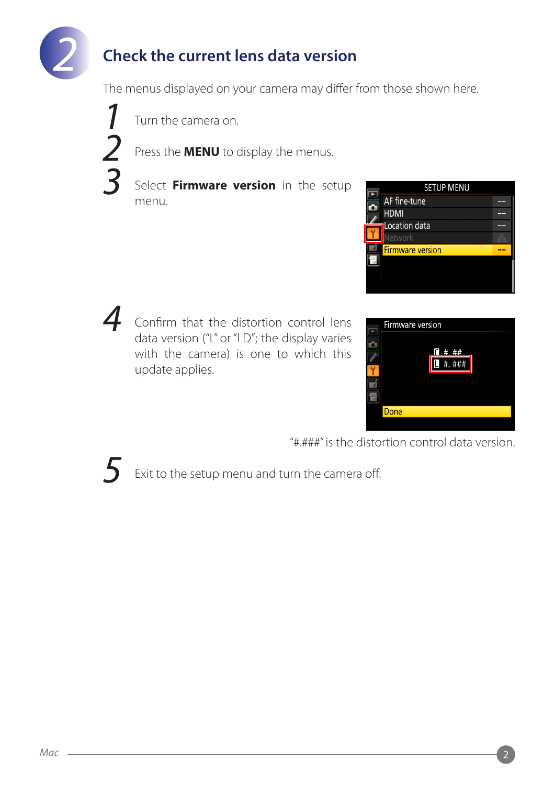

## **Check the current lens data version**

The menus displayed on your camera may differ from those shown here.

 *1 2 3*

Turn the camera on.

Press the **MENU** to display the menus.

Select **Firmware version** in the setup .menu



Confirm that the distortion control lens *4* data version ("L" or "LD"; the display varies with the camera) is one to which this update applies.



"#.###" is the distortion control data version.



Exit to the setup menu and turn the camera off.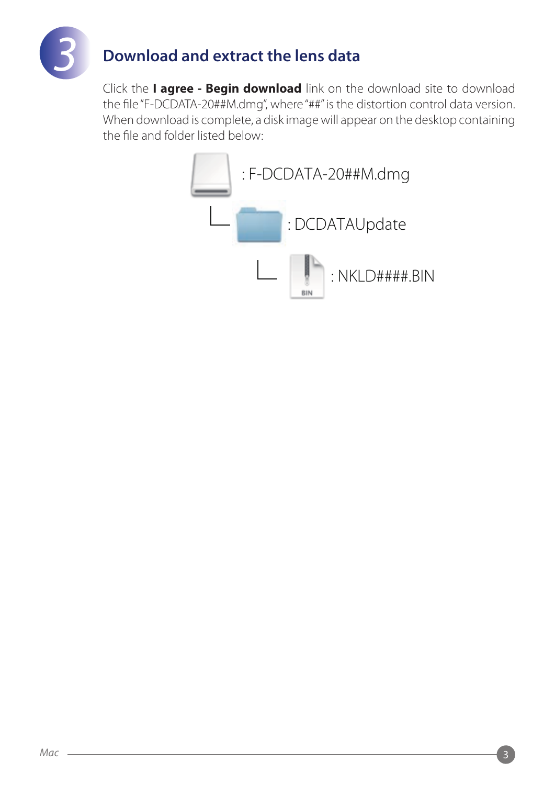

## **Download and extract the lens data**

Click the **I agree - Begin download** link on the download site to download the file "F-DCDATA-20##M.dmg", where "##" is the distortion control data version. When download is complete, a disk image will appear on the desktop containing the file and folder listed below:

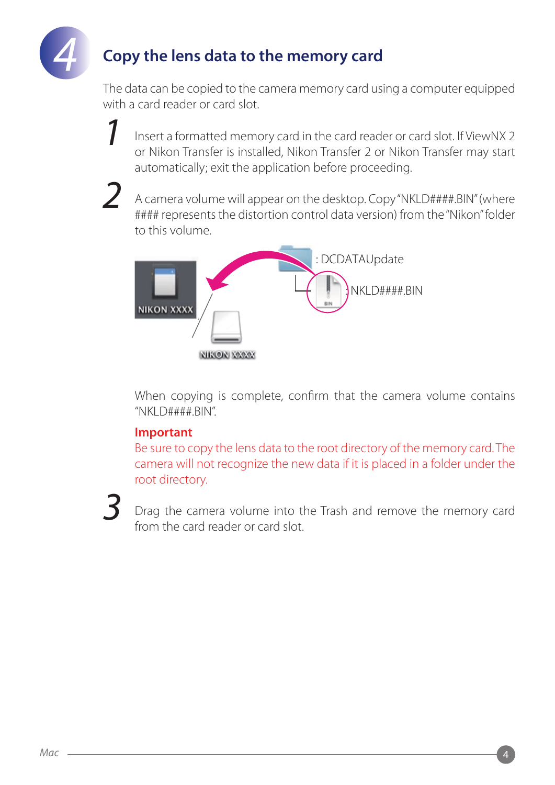

### **Copy the lens data to the memory card**

The data can be copied to the camera memory card using a computer equipped with a card reader or card slot.

Insert a formatted memory card in the card reader or card slot. If ViewNX 2 or Nikon Transfer is installed, Nikon Transfer 2 or Nikon Transfer may start automatically; exit the application before proceeding.

*2*

*1*

A camera volume will appear on the desktop. Copy "NKLD####.BIN" (where #### represents the distortion control data version) from the "Nikon" folder to this volume.



When copying is complete, confirm that the camera volume contains  $"NKLD###H.BIN"$ .

#### **Important**

Be sure to copy the lens data to the root directory of the memory card. The camera will not recognize the new data if it is placed in a folder under the root directory.

# *3*

Drag the camera volume into the Trash and remove the memory card from the card reader or card slot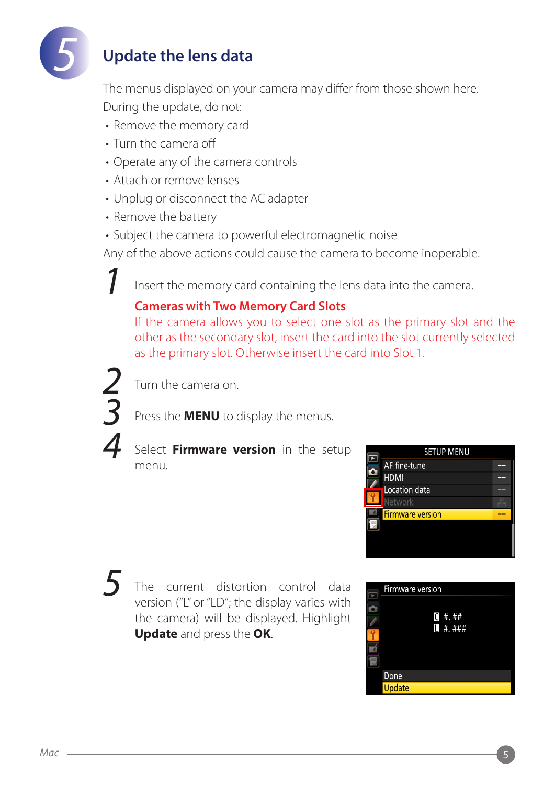

#### **Update the lens data**

The menus displayed on your camera may differ from those shown here. During the update, do not:

- Remove the memory card
- Turn the camera off
- Operate any of the camera controls
- Attach or remove lenses
- Unplug or disconnect the AC adapter
- Remove the battery
- Subject the camera to powerful electromagnetic noise

Any of the above actions could cause the camera to become inoperable.

Insert the memory card containing the lens data into the camera.

#### **Cameras with Two Memory Card Slots**

If the camera allows you to select one slot as the primary slot and the other as the secondary slot, insert the card into the slot currently selected as the primary slot. Otherwise insert the card into Slot 1.



*5*

*1*

Turn the camera on

Press the **MENU** to display the menus.

#### Select **Firmware version** in the setup .menu



The current distortion control data version ("L" or "LD"; the display varies with the camera) will be displayed. Highlight **Update** and press the OK.